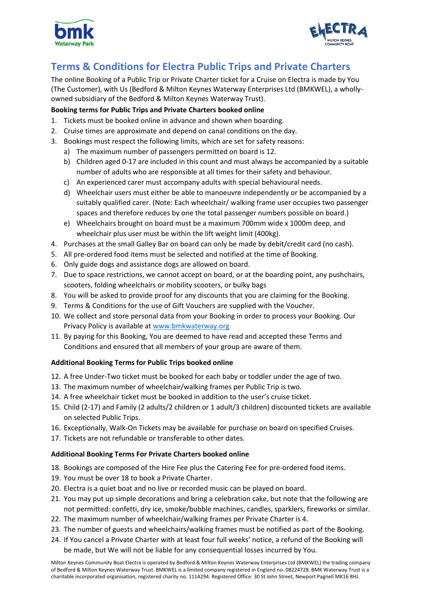



# **Terms & Conditions for Electra Public Trips and Private Charters**

The online Booking of a Public Trip or Private Charter ticket for a Cruise on Electra is made by You (The Customer), with Us (Bedford & Milton Keynes Waterway Enterprises Ltd (BMKWEL), a whollyowned subsidiary of the Bedford & Milton Keynes Waterway Trust).

# **Booking terms for Public Trips and Private Charters booked online**

- 1. Tickets must be booked online in advance and shown when boarding.
- 2. Cruise times are approximate and depend on canal conditions on the day.
- 3. Bookings must respect the following limits, which are set for safety reasons:
	- a) The maximum number of passengers permitted on board is 12.
	- b) Children aged 0-17 are included in this count and must always be accompanied by a suitable number of adults who are responsible at all times for their safety and behaviour.
	- c) An experienced carer must accompany adults with special behavioural needs.
	- d) Wheelchair users must either be able to manoeuvre independently or be accompanied by a suitably qualified carer. (Note: Each wheelchair/ walking frame user occupies two passenger spaces and therefore reduces by one the total passenger numbers possible on board.)
	- e) Wheelchairs brought on board must be a maximum 700mm wide x 1000m deep, and wheelchair plus user must be within the lift weight limit (400kg).
- 4. Purchases at the small Galley Bar on board can only be made by debit/credit card (no cash).
- 5. All pre-ordered food items must be selected and notified at the time of Booking.
- 6. Only guide dogs and assistance dogs are allowed on board.
- 7. Due to space restrictions, we cannot accept on board, or at the boarding point, any pushchairs, scooters, folding wheelchairs or mobility scooters, or bulky bags
- 8. You will be asked to provide proof for any discounts that you are claiming for the Booking.
- 9. Terms & Conditions for the use of Gift Vouchers are supplied with the Voucher.
- 10. We collect and store personal data from your Booking in order to process your Booking. Our Privacy Policy is available at [www.bmkwaterway.org](http://www.bmkwaterway.org/)
- 11. By paying for this Booking, You are deemed to have read and accepted these Terms and Conditions and ensured that all members of your group are aware of them.

## **Additional Booking Terms for Public Trips booked online**

- 12. A free Under-Two ticket must be booked for each baby or toddler under the age of two.
- 13. The maximum number of wheelchair/walking frames per Public Trip is two.
- 14. A free wheelchair ticket must be booked in addition to the user's cruise ticket.
- 15. Child (2-17) and Family (2 adults/2 children or 1 adult/3 children) discounted tickets are available on selected Public Trips.
- 16. Exceptionally, Walk-On Tickets may be available for purchase on board on specified Cruises.
- 17. Tickets are not refundable or transferable to other dates.

## **Additional Booking Terms For Private Charters booked online**

- 18. Bookings are composed of the Hire Fee plus the Catering Fee for pre-ordered food items.
- 19. You must be over 18 to book a Private Charter.
- 20. Electra is a quiet boat and no live or recorded music can be played on board.
- 21. You may put up simple decorations and bring a celebration cake, but note that the following are not permitted: confetti, dry ice, smoke/bubble machines, candles, sparklers, fireworks or similar.
- 22. The maximum number of wheelchair/walking frames per Private Charter is 4.
- 23. The number of guests and wheelchairs/walking frames must be notified as part of the Booking.
- 24. If You cancel a Private Charter with at least four full weeks' notice, a refund of the Booking will be made, but We will not be liable for any consequential losses incurred by You.